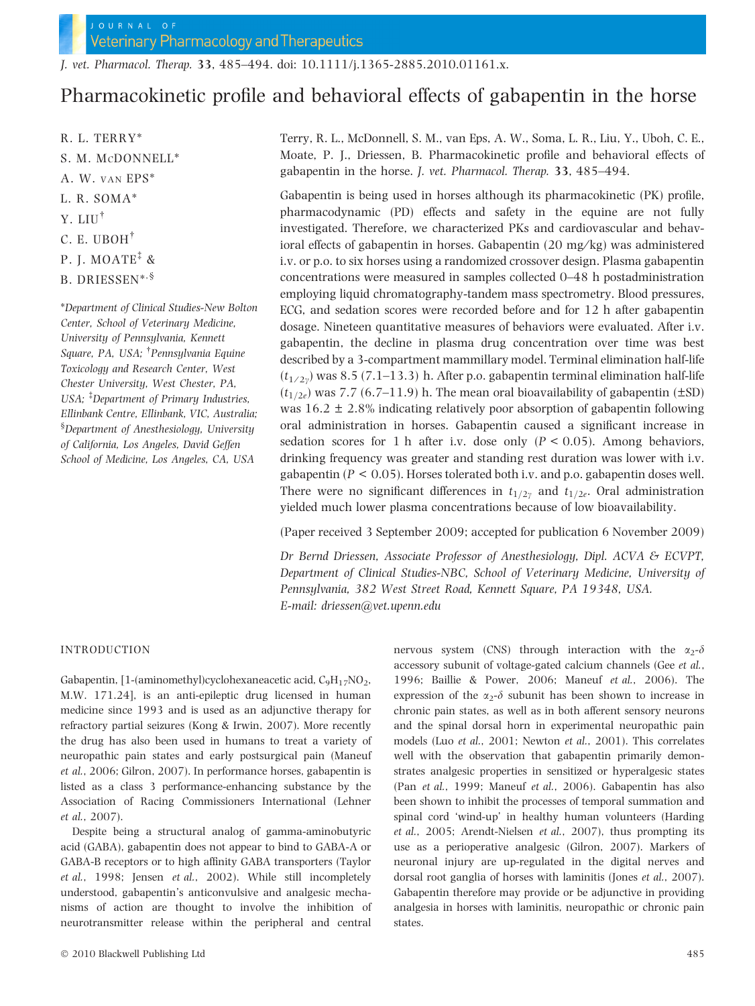J. vet. Pharmacol. Therap. 33, 485–494. doi: 10.1111/j.1365-2885.2010.01161.x.

# Pharmacokinetic profile and behavioral effects of gabapentin in the horse

R. L. TERRY\*

S. M. MCDONNELL\*

A. W. VAN EPS\*

L. R. SOMA\*

- Y. LIU $^\dagger$
- $C.$  E. UBOH $^{\dagger}$
- P. J. MOATE<sup> $#$ &</sup>
- B. DRIESSEN\*,§

\*Department of Clinical Studies-New Bolton Center, School of Veterinary Medicine, University of Pennsylvania, Kennett Square, PA, USA; <sup>†</sup>Pennsylvania Equine Toxicology and Research Center, West Chester University, West Chester, PA, USA; Department of Primary Industries, Ellinbank Centre, Ellinbank, VIC, Australia; § Department of Anesthesiology, University of California, Los Angeles, David Geffen School of Medicine, Los Angeles, CA, USA

Terry, R. L., McDonnell, S. M., van Eps, A. W., Soma, L. R., Liu, Y., Uboh, C. E., Moate, P. J., Driessen, B. Pharmacokinetic profile and behavioral effects of gabapentin in the horse. J. vet. Pharmacol. Therap. 33, 485–494.

Gabapentin is being used in horses although its pharmacokinetic (PK) profile, pharmacodynamic (PD) effects and safety in the equine are not fully investigated. Therefore, we characterized PKs and cardiovascular and behavioral effects of gabapentin in horses. Gabapentin  $(20 \text{ mg/kg})$  was administered i.v. or p.o. to six horses using a randomized crossover design. Plasma gabapentin concentrations were measured in samples collected 0–48 h postadministration employing liquid chromatography-tandem mass spectrometry. Blood pressures, ECG, and sedation scores were recorded before and for 12 h after gabapentin dosage. Nineteen quantitative measures of behaviors were evaluated. After i.v. gabapentin, the decline in plasma drug concentration over time was best described by a 3-compartment mammillary model. Terminal elimination half-life  $(t_{1/2y})$  was 8.5 (7.1–13.3) h. After p.o. gabapentin terminal elimination half-life  $(t_{1/2e})$  was 7.7 (6.7–11.9) h. The mean oral bioavailability of gabapentin ( $\pm$ SD) was  $16.2 \pm 2.8\%$  indicating relatively poor absorption of gabapentin following oral administration in horses. Gabapentin caused a significant increase in sedation scores for 1 h after i.v. dose only  $(P < 0.05)$ . Among behaviors, drinking frequency was greater and standing rest duration was lower with i.v. gabapentin ( $P < 0.05$ ). Horses tolerated both i.v. and p.o. gabapentin doses well. There were no significant differences in  $t_{1/2}$  and  $t_{1/2}$ . Oral administration yielded much lower plasma concentrations because of low bioavailability.

(Paper received 3 September 2009; accepted for publication 6 November 2009)

Dr Bernd Driessen, Associate Professor of Anesthesiology, Dipl. ACVA & ECVPT, Department of Clinical Studies-NBC, School of Veterinary Medicine, University of Pennsylvania, 382 West Street Road, Kennett Square, PA 19348, USA. E-mail: driessen@vet.upenn.edu

# INTRODUCTION

Gabapentin,  $[1-(\text{aminometry})\text{cyclohexaneacetic acid}, C_9H_{17}NO_2,$ M.W. 171.24], is an anti-epileptic drug licensed in human medicine since 1993 and is used as an adjunctive therapy for refractory partial seizures (Kong & Irwin, 2007). More recently the drug has also been used in humans to treat a variety of neuropathic pain states and early postsurgical pain (Maneuf et al., 2006; Gilron, 2007). In performance horses, gabapentin is listed as a class 3 performance-enhancing substance by the Association of Racing Commissioners International (Lehner et al., 2007).

Despite being a structural analog of gamma-aminobutyric acid (GABA), gabapentin does not appear to bind to GABA-A or GABA-B receptors or to high affinity GABA transporters (Taylor et al., 1998; Jensen et al., 2002). While still incompletely understood, gabapentin's anticonvulsive and analgesic mechanisms of action are thought to involve the inhibition of neurotransmitter release within the peripheral and central

- 2010 Blackwell Publishing Ltd 485

nervous system (CNS) through interaction with the  $\alpha_2-\delta$ accessory subunit of voltage-gated calcium channels (Gee et al., 1996; Baillie & Power, 2006; Maneuf et al., 2006). The expression of the  $\alpha_2$ - $\delta$  subunit has been shown to increase in chronic pain states, as well as in both afferent sensory neurons and the spinal dorsal horn in experimental neuropathic pain models (Luo et al., 2001; Newton et al., 2001). This correlates well with the observation that gabapentin primarily demonstrates analgesic properties in sensitized or hyperalgesic states (Pan et al., 1999; Maneuf et al., 2006). Gabapentin has also been shown to inhibit the processes of temporal summation and spinal cord 'wind-up' in healthy human volunteers (Harding et al., 2005; Arendt-Nielsen et al., 2007), thus prompting its use as a perioperative analgesic (Gilron, 2007). Markers of neuronal injury are up-regulated in the digital nerves and dorsal root ganglia of horses with laminitis (Jones et al., 2007). Gabapentin therefore may provide or be adjunctive in providing analgesia in horses with laminitis, neuropathic or chronic pain states.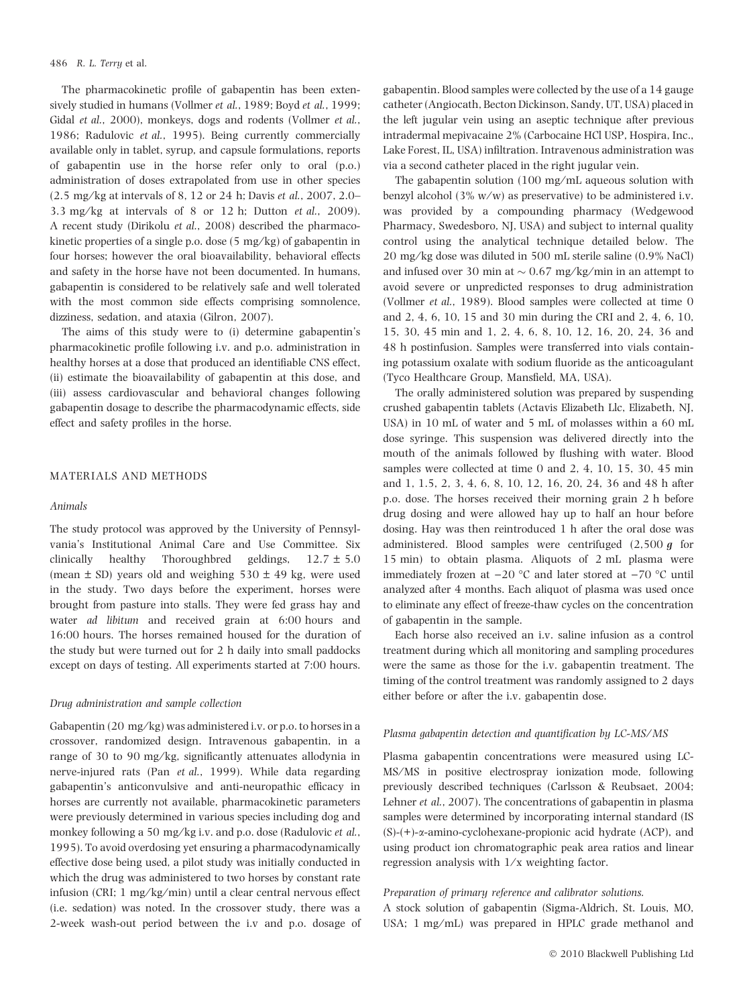The pharmacokinetic profile of gabapentin has been extensively studied in humans (Vollmer et al., 1989; Boyd et al., 1999; Gidal et al., 2000), monkeys, dogs and rodents (Vollmer et al., 1986; Radulovic et al., 1995). Being currently commercially available only in tablet, syrup, and capsule formulations, reports of gabapentin use in the horse refer only to oral (p.o.) administration of doses extrapolated from use in other species  $(2.5 \text{ mg/kg}$  at intervals of 8, 12 or 24 h; Davis *et al.*, 2007, 2.0– 3.3 mg/kg at intervals of 8 or 12 h; Dutton *et al.*, 2009). A recent study (Dirikolu et al., 2008) described the pharmacokinetic properties of a single p.o. dose  $(5 \text{ mg/kg})$  of gabapentin in four horses; however the oral bioavailability, behavioral effects and safety in the horse have not been documented. In humans, gabapentin is considered to be relatively safe and well tolerated with the most common side effects comprising somnolence. dizziness, sedation, and ataxia (Gilron, 2007).

The aims of this study were to (i) determine gabapentin's pharmacokinetic profile following i.v. and p.o. administration in healthy horses at a dose that produced an identifiable CNS effect, (ii) estimate the bioavailability of gabapentin at this dose, and (iii) assess cardiovascular and behavioral changes following gabapentin dosage to describe the pharmacodynamic effects, side effect and safety profiles in the horse.

# MATERIALS AND METHODS

#### Animals

The study protocol was approved by the University of Pennsylvania's Institutional Animal Care and Use Committee. Six clinically healthy Thoroughbred geldings,  $12.7 \pm 5.0$ (mean  $\pm$  SD) years old and weighing 530  $\pm$  49 kg, were used in the study. Two days before the experiment, horses were brought from pasture into stalls. They were fed grass hay and water ad libitum and received grain at 6:00 hours and 16:00 hours. The horses remained housed for the duration of the study but were turned out for 2 h daily into small paddocks except on days of testing. All experiments started at 7:00 hours.

#### Drug administration and sample collection

Gabapentin (20 mg/kg) was administered i.v. or p.o. to horses in a crossover, randomized design. Intravenous gabapentin, in a range of 30 to 90 mg/kg, significantly attenuates allodynia in nerve-injured rats (Pan et al., 1999). While data regarding gabapentin's anticonvulsive and anti-neuropathic efficacy in horses are currently not available, pharmacokinetic parameters were previously determined in various species including dog and monkey following a 50 mg/kg i.v. and p.o. dose (Radulovic *et al.*, 1995). To avoid overdosing yet ensuring a pharmacodynamically effective dose being used, a pilot study was initially conducted in which the drug was administered to two horses by constant rate infusion (CRI; 1 mg/kg/min) until a clear central nervous effect (i.e. sedation) was noted. In the crossover study, there was a 2-week wash-out period between the i.v and p.o. dosage of gabapentin. Blood samples were collected by the use of a 14 gauge catheter (Angiocath, Becton Dickinson, Sandy, UT, USA) placed in the left jugular vein using an aseptic technique after previous intradermal mepivacaine 2% (Carbocaine HCl USP, Hospira, Inc., Lake Forest, IL, USA) infiltration. Intravenous administration was via a second catheter placed in the right jugular vein.

The gabapentin solution  $(100 \text{ mg/mL})$  aqueous solution with benzyl alcohol  $(3\% \text{ w/w})$  as preservative) to be administered i.v. was provided by a compounding pharmacy (Wedgewood Pharmacy, Swedesboro, NJ, USA) and subject to internal quality control using the analytical technique detailed below. The 20 mg/kg dose was diluted in 500 mL sterile saline (0.9% NaCl) and infused over 30 min at  $\sim 0.67$  mg/kg/min in an attempt to avoid severe or unpredicted responses to drug administration (Vollmer et al., 1989). Blood samples were collected at time 0 and 2, 4, 6, 10, 15 and 30 min during the CRI and 2, 4, 6, 10, 15, 30, 45 min and 1, 2, 4, 6, 8, 10, 12, 16, 20, 24, 36 and 48 h postinfusion. Samples were transferred into vials containing potassium oxalate with sodium fluoride as the anticoagulant (Tyco Healthcare Group, Mansfield, MA, USA).

The orally administered solution was prepared by suspending crushed gabapentin tablets (Actavis Elizabeth Llc, Elizabeth, NJ, USA) in 10 mL of water and 5 mL of molasses within a 60 mL dose syringe. This suspension was delivered directly into the mouth of the animals followed by flushing with water. Blood samples were collected at time 0 and 2, 4, 10, 15, 30, 45 min and 1, 1.5, 2, 3, 4, 6, 8, 10, 12, 16, 20, 24, 36 and 48 h after p.o. dose. The horses received their morning grain 2 h before drug dosing and were allowed hay up to half an hour before dosing. Hay was then reintroduced 1 h after the oral dose was administered. Blood samples were centrifuged (2,500 g for 15 min) to obtain plasma. Aliquots of 2 mL plasma were immediately frozen at  $-20$  °C and later stored at  $-70$  °C until analyzed after 4 months. Each aliquot of plasma was used once to eliminate any effect of freeze-thaw cycles on the concentration of gabapentin in the sample.

Each horse also received an i.v. saline infusion as a control treatment during which all monitoring and sampling procedures were the same as those for the i.v. gabapentin treatment. The timing of the control treatment was randomly assigned to 2 days either before or after the i.v. gabapentin dose.

#### Plasma gabapentin detection and quantification by LC-MS/MS

Plasma gabapentin concentrations were measured using LC-MS/MS in positive electrospray ionization mode, following previously described techniques (Carlsson & Reubsaet, 2004; Lehner et al., 2007). The concentrations of gabapentin in plasma samples were determined by incorporating internal standard (IS  $(S)-(+)$ - $\alpha$ -amino-cyclohexane-propionic acid hydrate (ACP), and using product ion chromatographic peak area ratios and linear regression analysis with  $1/x$  weighting factor.

# Preparation of primary reference and calibrator solutions.

A stock solution of gabapentin (Sigma-Aldrich, St. Louis, MO, USA; 1 mg/mL) was prepared in HPLC grade methanol and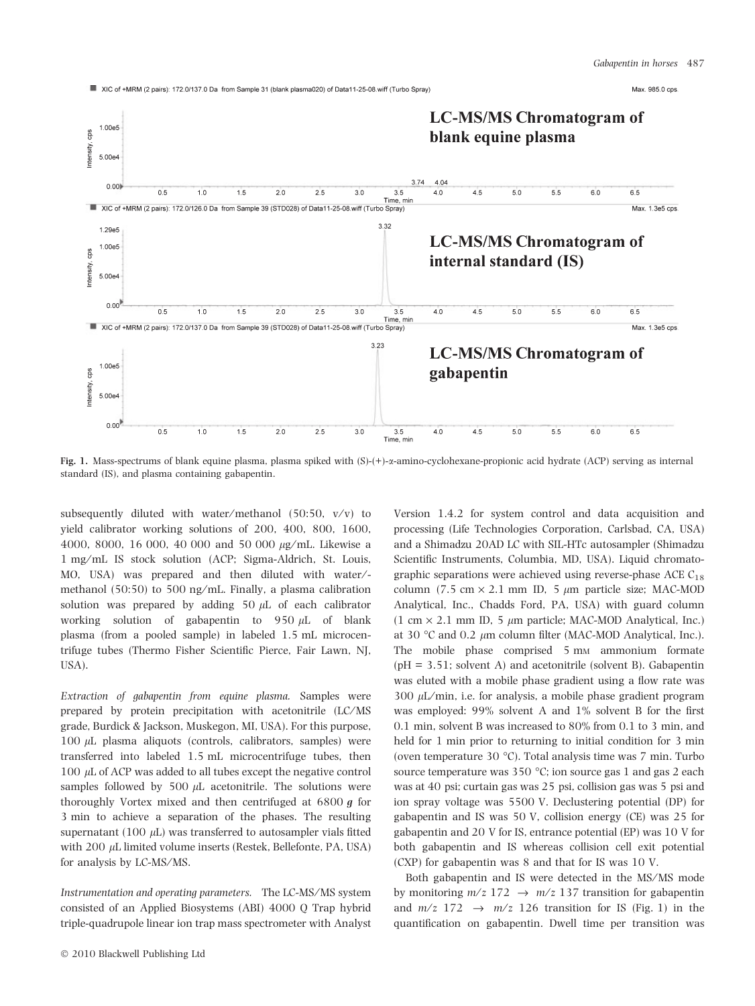

Fig. 1. Mass-spectrums of blank equine plasma, plasma spiked with (S)-(+)- $\alpha$ -amino-cyclohexane-propionic acid hydrate (ACP) serving as internal standard (IS), and plasma containing gabapentin.

subsequently diluted with water/methanol (50:50,  $v/v$ ) to yield calibrator working solutions of 200, 400, 800, 1600, 4000, 8000, 16 000, 40 000 and 50 000  $\mu$ g/mL. Likewise a 1 mg/mL IS stock solution (ACP; Sigma-Aldrich, St. Louis, MO, USA) was prepared and then diluted with water/methanol (50:50) to 500 ng ⁄ mL. Finally, a plasma calibration solution was prepared by adding 50  $\mu$ L of each calibrator working solution of gabapentin to  $950 \mu L$  of blank plasma (from a pooled sample) in labeled 1.5 mL microcentrifuge tubes (Thermo Fisher Scientific Pierce, Fair Lawn, NJ, USA).

Extraction of gabapentin from equine plasma. Samples were prepared by protein precipitation with acetonitrile (LC/MS grade, Burdick & Jackson, Muskegon, MI, USA). For this purpose,  $100 \mu L$  plasma aliquots (controls, calibrators, samples) were transferred into labeled 1.5 mL microcentrifuge tubes, then  $100 \mu L$  of ACP was added to all tubes except the negative control samples followed by 500  $\mu$ L acetonitrile. The solutions were thoroughly Vortex mixed and then centrifuged at 6800 g for 3 min to achieve a separation of the phases. The resulting supernatant (100  $\mu$ L) was transferred to autosampler vials fitted with 200  $\mu$ L limited volume inserts (Restek, Bellefonte, PA, USA) for analysis by LC-MS/MS.

Instrumentation and operating parameters. The LC-MS/MS system consisted of an Applied Biosystems (ABI) 4000 Q Trap hybrid triple-quadrupole linear ion trap mass spectrometer with Analyst Version 1.4.2 for system control and data acquisition and processing (Life Technologies Corporation, Carlsbad, CA, USA) and a Shimadzu 20AD LC with SIL-HTc autosampler (Shimadzu Scientific Instruments, Columbia, MD, USA). Liquid chromatographic separations were achieved using reverse-phase ACE  $C_{18}$ column (7.5 cm  $\times$  2.1 mm ID, 5  $\mu$ m particle size; MAC-MOD Analytical, Inc., Chadds Ford, PA, USA) with guard column (1 cm  $\times$  2.1 mm ID, 5  $\mu$ m particle; MAC-MOD Analytical, Inc.) at 30 °C and 0.2  $\mu$ m column filter (MAC-MOD Analytical, Inc.). The mobile phase comprised 5 mm ammonium formate  $(pH = 3.51;$  solvent A) and acetonitrile (solvent B). Gabapentin was eluted with a mobile phase gradient using a flow rate was 300  $\mu$ L/min, i.e. for analysis, a mobile phase gradient program was employed: 99% solvent A and 1% solvent B for the first 0.1 min, solvent B was increased to 80% from 0.1 to 3 min, and held for 1 min prior to returning to initial condition for 3 min (oven temperature 30  $^{\circ}$ C). Total analysis time was 7 min. Turbo source temperature was  $350^{\circ}$ C; ion source gas 1 and gas 2 each was at 40 psi; curtain gas was 25 psi, collision gas was 5 psi and ion spray voltage was 5500 V. Declustering potential (DP) for gabapentin and IS was 50 V, collision energy (CE) was 25 for gabapentin and 20 V for IS, entrance potential (EP) was 10 V for both gabapentin and IS whereas collision cell exit potential (CXP) for gabapentin was 8 and that for IS was 10 V.

Both gabapentin and IS were detected in the MS/MS mode by monitoring  $m/z$  172  $\rightarrow$   $m/z$  137 transition for gabapentin and  $m/z$  172  $\rightarrow$   $m/z$  126 transition for IS (Fig. 1) in the quantification on gabapentin. Dwell time per transition was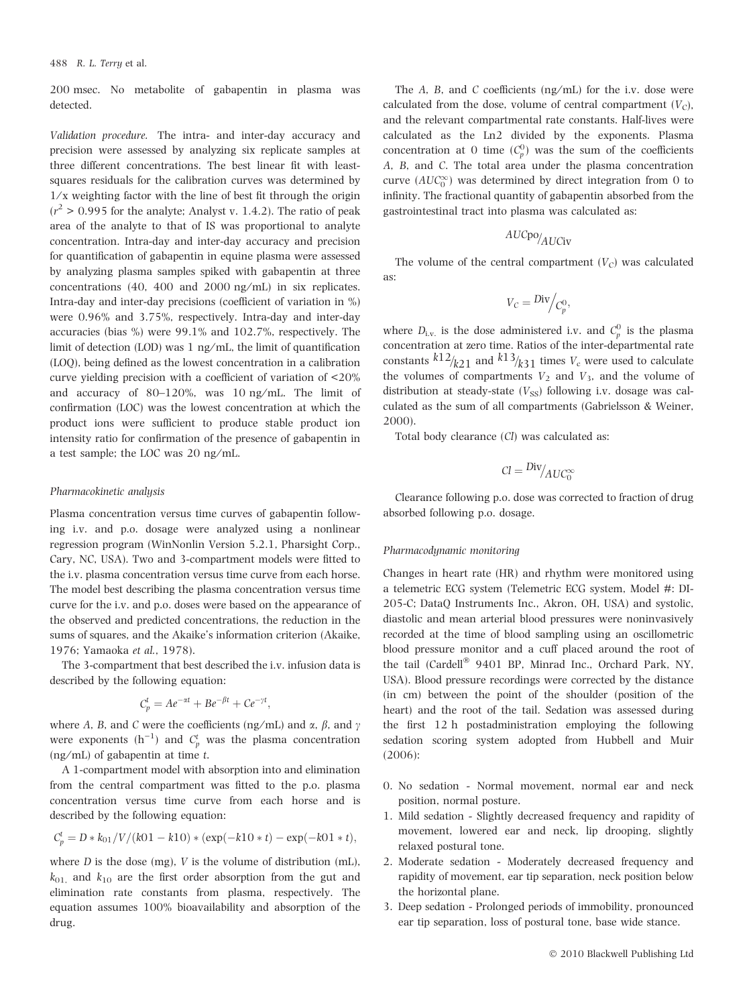200 msec. No metabolite of gabapentin in plasma was detected.

Validation procedure. The intra- and inter-day accuracy and precision were assessed by analyzing six replicate samples at three different concentrations. The best linear fit with leastsquares residuals for the calibration curves was determined by  $1/x$  weighting factor with the line of best fit through the origin  $(r^2 > 0.995$  for the analyte; Analyst v. 1.4.2). The ratio of peak area of the analyte to that of IS was proportional to analyte concentration. Intra-day and inter-day accuracy and precision for quantification of gabapentin in equine plasma were assessed by analyzing plasma samples spiked with gabapentin at three concentrations (40, 400 and 2000 ng/mL) in six replicates. Intra-day and inter-day precisions (coefficient of variation in %) were 0.96% and 3.75%, respectively. Intra-day and inter-day accuracies (bias %) were 99.1% and 102.7%, respectively. The limit of detection  $(LOD)$  was 1 ng/mL, the limit of quantification (LOQ), being defined as the lowest concentration in a calibration curve yielding precision with a coefficient of variation of <20% and accuracy of  $80-120\%$ , was 10 ng/mL. The limit of confirmation (LOC) was the lowest concentration at which the product ions were sufficient to produce stable product ion intensity ratio for confirmation of the presence of gabapentin in a test sample; the LOC was 20 ng/mL.

#### Pharmacokinetic analysis

Plasma concentration versus time curves of gabapentin following i.v. and p.o. dosage were analyzed using a nonlinear regression program (WinNonlin Version 5.2.1, Pharsight Corp., Cary, NC, USA). Two and 3-compartment models were fitted to the i.v. plasma concentration versus time curve from each horse. The model best describing the plasma concentration versus time curve for the i.v. and p.o. doses were based on the appearance of the observed and predicted concentrations, the reduction in the sums of squares, and the Akaike's information criterion (Akaike, 1976; Yamaoka et al., 1978).

The 3-compartment that best described the i.v. infusion data is described by the following equation:

$$
C_p^t = Ae^{-\alpha t} + Be^{-\beta t} + Ce^{-\gamma t},
$$

where A, B, and C were the coefficients (ng/mL) and  $\alpha$ ,  $\beta$ , and  $\gamma$ were exponents  $(h^{-1})$  and  $C_p^t$  was the plasma concentration (ng/mL) of gabapentin at time  $t$ .

A 1-compartment model with absorption into and elimination from the central compartment was fitted to the p.o. plasma concentration versus time curve from each horse and is described by the following equation:

$$
C_p^t = D * k_{01}/V/(k01 - k10) * (exp(-k10 * t) - exp(-k01 * t),
$$

where  $D$  is the dose (mg),  $V$  is the volume of distribution (mL),  $k_{01}$  and  $k_{10}$  are the first order absorption from the gut and elimination rate constants from plasma, respectively. The equation assumes 100% bioavailability and absorption of the drug.

The A, B, and C coefficients  $(\text{ng/ml})$  for the i.v. dose were calculated from the dose, volume of central compartment  $(V<sub>c</sub>)$ , and the relevant compartmental rate constants. Half-lives were calculated as the Ln2 divided by the exponents. Plasma concentration at 0 time  $(C_p^0)$  was the sum of the coefficients A, B, and C. The total area under the plasma concentration curve  $(AUC_0^{\infty})$  was determined by direct integration from 0 to infinity. The fractional quantity of gabapentin absorbed from the gastrointestinal tract into plasma was calculated as:

# $AUCpo/_{AIICliv}$

The volume of the central compartment  $(V_C)$  was calculated as:

$$
V_C = \frac{Div}{C_p^0},
$$

where  $D_{i,v}$  is the dose administered i.v. and  $C_p^0$  is the plasma concentration at zero time. Ratios of the inter-departmental rate constants  $k12_{k21}$  and  $k13_{k31}$  times  $V_c$  were used to calculate the volumes of compartments  $V_2$  and  $V_3$ , and the volume of distribution at steady-state  $(V_{SS})$  following i.v. dosage was calculated as the sum of all compartments (Gabrielsson & Weiner, 2000).

Total body clearance (Cl) was calculated as:

$$
Cl = \frac{Div}{AUC_0^\infty}
$$

Clearance following p.o. dose was corrected to fraction of drug absorbed following p.o. dosage.

#### Pharmacodynamic monitoring

Changes in heart rate (HR) and rhythm were monitored using a telemetric ECG system (Telemetric ECG system, Model #: DI-205-C; DataQ Instruments Inc., Akron, OH, USA) and systolic, diastolic and mean arterial blood pressures were noninvasively recorded at the time of blood sampling using an oscillometric blood pressure monitor and a cuff placed around the root of the tail (Cardell® 9401 BP, Minrad Inc., Orchard Park, NY, USA). Blood pressure recordings were corrected by the distance (in cm) between the point of the shoulder (position of the heart) and the root of the tail. Sedation was assessed during the first 12 h postadministration employing the following sedation scoring system adopted from Hubbell and Muir (2006):

- 0. No sedation Normal movement, normal ear and neck position, normal posture.
- 1. Mild sedation Slightly decreased frequency and rapidity of movement, lowered ear and neck, lip drooping, slightly relaxed postural tone.
- 2. Moderate sedation Moderately decreased frequency and rapidity of movement, ear tip separation, neck position below the horizontal plane.
- 3. Deep sedation Prolonged periods of immobility, pronounced ear tip separation, loss of postural tone, base wide stance.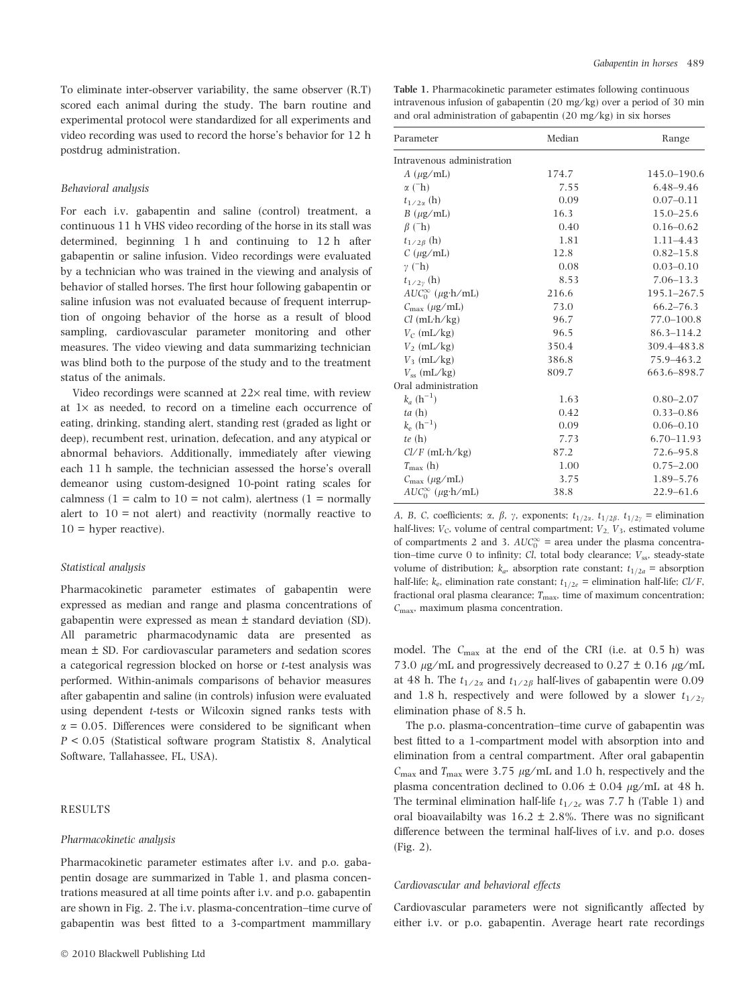To eliminate inter-observer variability, the same observer (R.T) scored each animal during the study. The barn routine and experimental protocol were standardized for all experiments and video recording was used to record the horse's behavior for 12 h postdrug administration.

#### Behavioral analysis

For each i.v. gabapentin and saline (control) treatment, a continuous 11 h VHS video recording of the horse in its stall was determined, beginning 1 h and continuing to 12 h after gabapentin or saline infusion. Video recordings were evaluated by a technician who was trained in the viewing and analysis of behavior of stalled horses. The first hour following gabapentin or saline infusion was not evaluated because of frequent interruption of ongoing behavior of the horse as a result of blood sampling, cardiovascular parameter monitoring and other measures. The video viewing and data summarizing technician was blind both to the purpose of the study and to the treatment status of the animals.

Video recordings were scanned at  $22\times$  real time, with review at  $1\times$  as needed, to record on a timeline each occurrence of eating, drinking, standing alert, standing rest (graded as light or deep), recumbent rest, urination, defecation, and any atypical or abnormal behaviors. Additionally, immediately after viewing each 11 h sample, the technician assessed the horse's overall demeanor using custom-designed 10-point rating scales for calmness (1 = calm to 10 = not calm), alertness (1 = normally alert to  $10 =$  not alert) and reactivity (normally reactive to  $10$  = hyper reactive).

#### Statistical analysis

Pharmacokinetic parameter estimates of gabapentin were expressed as median and range and plasma concentrations of gabapentin were expressed as mean ± standard deviation (SD). All parametric pharmacodynamic data are presented as mean ± SD. For cardiovascular parameters and sedation scores a categorical regression blocked on horse or t-test analysis was performed. Within-animals comparisons of behavior measures after gabapentin and saline (in controls) infusion were evaluated using dependent t-tests or Wilcoxin signed ranks tests with  $\alpha$  = 0.05. Differences were considered to be significant when  $P < 0.05$  (Statistical software program Statistix 8, Analytical Software, Tallahassee, FL, USA).

# RESULTS

#### Pharmacokinetic analysis

Pharmacokinetic parameter estimates after i.v. and p.o. gabapentin dosage are summarized in Table 1, and plasma concentrations measured at all time points after i.v. and p.o. gabapentin are shown in Fig. 2. The i.v. plasma-concentration–time curve of gabapentin was best fitted to a 3-compartment mammillary Table 1. Pharmacokinetic parameter estimates following continuous intravenous infusion of gabapentin  $(20 \text{ mg/kg})$  over a period of 30 min and oral administration of gabapentin  $(20 \text{ mg/kg})$  in six horses

| Parameter                          | Median | Range          |
|------------------------------------|--------|----------------|
| Intravenous administration         |        |                |
| $A \ (\mu g/mL)$                   | 174.7  | 145.0-190.6    |
| $\alpha$ ( $\alpha$ )              | 7.55   | $6.48 - 9.46$  |
| $t_{1/2\alpha}$ (h)                | 0.09   | $0.07 - 0.11$  |
| $B(\mu g/mL)$                      | 16.3   | $15.0 - 25.6$  |
| $\beta$ ( $\bar{h}$ )              | 0.40   | $0.16 - 0.62$  |
| $t_{1/2\beta}$ (h)                 | 1.81   | $1.11 - 4.43$  |
| $C \left( \mu \text{g/mL} \right)$ | 12.8   | $0.82 - 15.8$  |
| $\gamma$ ( <sup>-</sup> h)         | 0.08   | $0.03 - 0.10$  |
| $t_{1/2\gamma}$ (h)                | 8.53   | $7.06 - 13.3$  |
| $AUC_0^{\infty}$ (µg·h/mL)         | 216.6  | 195.1-267.5    |
| $C_{\rm max}$ ( $\mu$ g/mL)        | 73.0   | $66.2 - 76.3$  |
| $Cl$ (mL $\cdot h/kg$ )            | 96.7   | 77.0-100.8     |
| $V_C$ (mL/kg)                      | 96.5   | 86.3-114.2     |
| $V_2$ (mL/kg)                      | 350.4  | 309.4 - 483.8  |
| $V_3$ (mL/kg)                      | 386.8  | 75.9–463.2     |
| $V_{ss}$ (mL/kg)                   | 809.7  | 663.6-898.7    |
| Oral administration                |        |                |
| $k_a$ (h <sup>-1</sup> )           | 1.63   | $0.80 - 2.07$  |
| ta(h)                              | 0.42   | $0.33 - 0.86$  |
| $k_e$ (h <sup>-1</sup> )           | 0.09   | $0.06 - 0.10$  |
| te(h)                              | 7.73   | $6.70 - 11.93$ |
| $Cl/F$ (mL $\cdot$ h/kg)           | 87.2   | $72.6 - 95.8$  |
| $T_{\rm max}$ (h)                  | 1.00   | $0.75 - 2.00$  |
| $C_{\rm max}$ ( $\mu$ g/mL)        | 3.75   | 1.89 - 5.76    |
| $AUC_0^{\infty}$ (µg·h/mL)         | 38.8   | $22.9 - 61.6$  |

A, B, C, coefficients;  $\alpha$ ,  $\beta$ ,  $\gamma$ , exponents;  $t_{1/2\alpha}$ ,  $t_{1/2\beta}$ ,  $t_{1/2\gamma}$  = elimination half-lives;  $V_c$ , volume of central compartment;  $V_2$ ,  $V_3$ , estimated volume of compartments 2 and 3.  $AUC_0^{\infty}$  = area under the plasma concentration–time curve  $0$  to infinity;  $Cl$ , total body clearance;  $V_{ss}$ , steady-state volume of distribution;  $k_a$ , absorption rate constant;  $t_{1/2a}$  = absorption half-life;  $k_e$ , elimination rate constant;  $t_{1/2e}$  = elimination half-life; Cl/F, fractional oral plasma clearance;  $T_{\text{max}}$ , time of maximum concentration;  $C_{\text{max}}$ , maximum plasma concentration.

model. The  $C_{\text{max}}$  at the end of the CRI (i.e. at 0.5 h) was 73.0  $\mu$ g/mL and progressively decreased to 0.27  $\pm$  0.16  $\mu$ g/mL at 48 h. The  $t_{1/2\alpha}$  and  $t_{1/2\beta}$  half-lives of gabapentin were 0.09 and 1.8 h, respectively and were followed by a slower  $t_{1/2}$ elimination phase of 8.5 h.

The p.o. plasma-concentration–time curve of gabapentin was best fitted to a 1-compartment model with absorption into and elimination from a central compartment. After oral gabapentin  $C_{\text{max}}$  and  $T_{\text{max}}$  were 3.75  $\mu$ g/mL and 1.0 h, respectively and the plasma concentration declined to  $0.06 \pm 0.04 \ \mu g/mL$  at 48 h. The terminal elimination half-life  $t_{1/2e}$  was 7.7 h (Table 1) and oral bioavailabilty was  $16.2 \pm 2.8$ %. There was no significant difference between the terminal half-lives of i.v. and p.o. doses (Fig. 2).

#### Cardiovascular and behavioral effects

Cardiovascular parameters were not significantly affected by either i.v. or p.o. gabapentin. Average heart rate recordings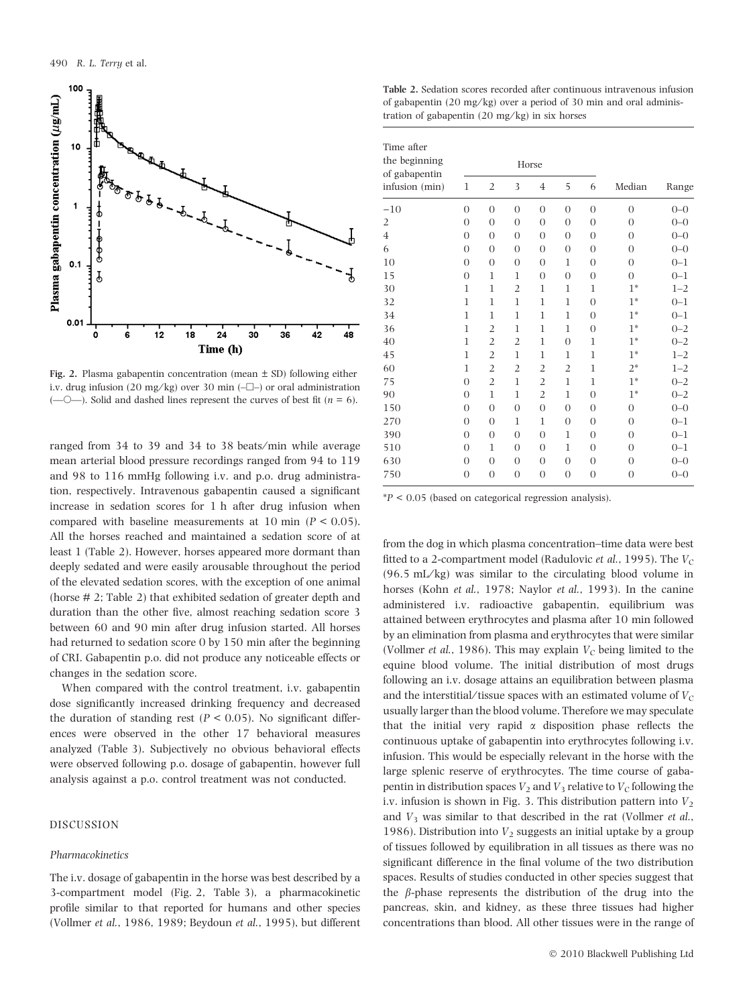

Fig. 2. Plasma gabapentin concentration (mean  $\pm$  SD) following either i.v. drug infusion (20 mg/kg) over 30 min  $(-\Box)$  or oral administration (-0–). Solid and dashed lines represent the curves of best fit ( $n = 6$ ).

ranged from 34 to 39 and 34 to 38 beats⁄ min while average mean arterial blood pressure recordings ranged from 94 to 119 and 98 to 116 mmHg following i.v. and p.o. drug administration, respectively. Intravenous gabapentin caused a significant increase in sedation scores for 1 h after drug infusion when compared with baseline measurements at 10 min ( $P < 0.05$ ). All the horses reached and maintained a sedation score of at least 1 (Table 2). However, horses appeared more dormant than deeply sedated and were easily arousable throughout the period of the elevated sedation scores, with the exception of one animal (horse # 2; Table 2) that exhibited sedation of greater depth and duration than the other five, almost reaching sedation score 3 between 60 and 90 min after drug infusion started. All horses had returned to sedation score 0 by 150 min after the beginning of CRI. Gabapentin p.o. did not produce any noticeable effects or changes in the sedation score.

When compared with the control treatment, i.v. gabapentin dose significantly increased drinking frequency and decreased the duration of standing rest ( $P < 0.05$ ). No significant differences were observed in the other 17 behavioral measures analyzed (Table 3). Subjectively no obvious behavioral effects were observed following p.o. dosage of gabapentin, however full analysis against a p.o. control treatment was not conducted.

#### DISCUSSION

#### Pharmacokinetics

The i.v. dosage of gabapentin in the horse was best described by a 3-compartment model (Fig. 2, Table 3), a pharmacokinetic profile similar to that reported for humans and other species (Vollmer et al., 1986, 1989; Beydoun et al., 1995), but different

Table 2. Sedation scores recorded after continuous intravenous infusion of gabapentin  $(20 \text{ mg/kg})$  over a period of 30 min and oral administration of gabapentin  $(20 \frac{mg}{kg})$  in six horses

| Time after<br>the beginning<br>of gabapentin |                | Horse          |                |                |                |                |                |         |
|----------------------------------------------|----------------|----------------|----------------|----------------|----------------|----------------|----------------|---------|
| infusion (min)                               | $\mathbf 1$    | $\overline{2}$ | 3              | $\overline{4}$ | 5              | 6              | Median         | Range   |
| $-10$                                        | $\overline{0}$ | $\overline{0}$ | $\overline{0}$ | $\overline{0}$ | $\overline{0}$ | $\overline{0}$ | $\overline{0}$ | $0 - 0$ |
| $\overline{c}$                               | $\overline{0}$ | $\overline{0}$ | $\overline{0}$ | $\overline{0}$ | $\overline{0}$ | $\overline{0}$ | $\overline{0}$ | $0 - 0$ |
| $\overline{4}$                               | $\overline{0}$ | $\overline{0}$ | $\overline{0}$ | $\overline{0}$ | $\overline{0}$ | $\overline{0}$ | $\overline{0}$ | $0 - 0$ |
| 6                                            | $\overline{0}$ | $\overline{0}$ | $\overline{0}$ | $\overline{0}$ | $\overline{0}$ | $\overline{0}$ | $\overline{0}$ | $0 - 0$ |
| 10                                           | $\overline{0}$ | $\overline{0}$ | $\overline{0}$ | $\overline{0}$ | 1              | $\overline{0}$ | $\overline{0}$ | $0 - 1$ |
| 15                                           | $\overline{0}$ | 1              | $\mathbf{1}$   | $\overline{0}$ | $\overline{0}$ | $\overline{0}$ | $\overline{0}$ | $0 - 1$ |
| 30                                           | 1              | 1              | $\overline{2}$ | 1              | 1              | 1              | $1^*$          | $1 - 2$ |
| 32                                           | 1              | 1              | $\mathbf{1}$   | 1              | 1              | $\overline{0}$ | $1^*$          | $0 - 1$ |
| 34                                           | 1              | 1              | 1              | 1              | 1              | $\overline{0}$ | $1*$           | $0 - 1$ |
| 36                                           | 1              | $\overline{2}$ | 1              | 1              | 1              | $\overline{0}$ | $1*$           | $0 - 2$ |
| 40                                           | 1              | $\overline{2}$ | $\overline{2}$ | 1              | $\overline{0}$ | 1              | $1*$           | $0 - 2$ |
| 45                                           | 1              | $\overline{2}$ | $\mathbf{1}$   | 1              | 1              | $\mathbf{1}$   | $1*$           | $1 - 2$ |
| 60                                           | 1              | $\overline{2}$ | $\overline{2}$ | $\overline{2}$ | $\overline{2}$ | $\mathbf{1}$   | $2*$           | $1 - 2$ |
| 75                                           | $\overline{0}$ | $\overline{2}$ | 1              | $\overline{2}$ | 1              | 1              | $1*$           | $0 - 2$ |
| 90                                           | $\overline{0}$ | 1              | 1              | $\overline{2}$ | 1              | $\overline{0}$ | $1*$           | $0 - 2$ |
| 150                                          | $\overline{0}$ | $\overline{0}$ | $\overline{0}$ | $\overline{0}$ | $\overline{0}$ | $\overline{0}$ | $\overline{0}$ | $0 - 0$ |
| 270                                          | $\overline{0}$ | $\overline{0}$ | 1              | 1              | $\overline{0}$ | $\overline{0}$ | $\Omega$       | $0 - 1$ |
| 390                                          | $\overline{0}$ | $\overline{0}$ | $\overline{0}$ | $\overline{0}$ | 1              | $\overline{0}$ | $\theta$       | $0 - 1$ |
| 510                                          | $\overline{0}$ | 1              | $\overline{0}$ | $\overline{0}$ | 1              | $\overline{0}$ | $\Omega$       | $0 - 1$ |
| 630                                          | $\overline{0}$ | $\overline{0}$ | $\overline{0}$ | $\overline{0}$ | $\overline{0}$ | $\overline{0}$ | $\theta$       | $0 - 0$ |
| 750                                          | $\overline{0}$ | $\overline{0}$ | $\overline{0}$ | $\overline{0}$ | $\overline{0}$ | $\overline{0}$ | $\overline{0}$ | $0 - 0$ |

 $*P < 0.05$  (based on categorical regression analysis).

from the dog in which plasma concentration–time data were best fitted to a 2-compartment model (Radulovic *et al.*, 1995). The  $V_c$  $(96.5 \text{ mL/kg})$  was similar to the circulating blood volume in horses (Kohn et al., 1978; Naylor et al., 1993). In the canine administered i.v. radioactive gabapentin, equilibrium was attained between erythrocytes and plasma after 10 min followed by an elimination from plasma and erythrocytes that were similar (Vollmer *et al.*, 1986). This may explain  $V_c$  being limited to the equine blood volume. The initial distribution of most drugs following an i.v. dosage attains an equilibration between plasma and the interstitial/tissue spaces with an estimated volume of  $V<sub>C</sub>$ usually larger than the blood volume. Therefore we may speculate that the initial very rapid  $\alpha$  disposition phase reflects the continuous uptake of gabapentin into erythrocytes following i.v. infusion. This would be especially relevant in the horse with the large splenic reserve of erythrocytes. The time course of gabapentin in distribution spaces  $V_2$  and  $V_3$  relative to  $V_c$  following the i.v. infusion is shown in Fig. 3. This distribution pattern into  $V_2$ and  $V_3$  was similar to that described in the rat (Vollmer *et al.*, 1986). Distribution into  $V_2$  suggests an initial uptake by a group of tissues followed by equilibration in all tissues as there was no significant difference in the final volume of the two distribution spaces. Results of studies conducted in other species suggest that the  $\beta$ -phase represents the distribution of the drug into the pancreas, skin, and kidney, as these three tissues had higher concentrations than blood. All other tissues were in the range of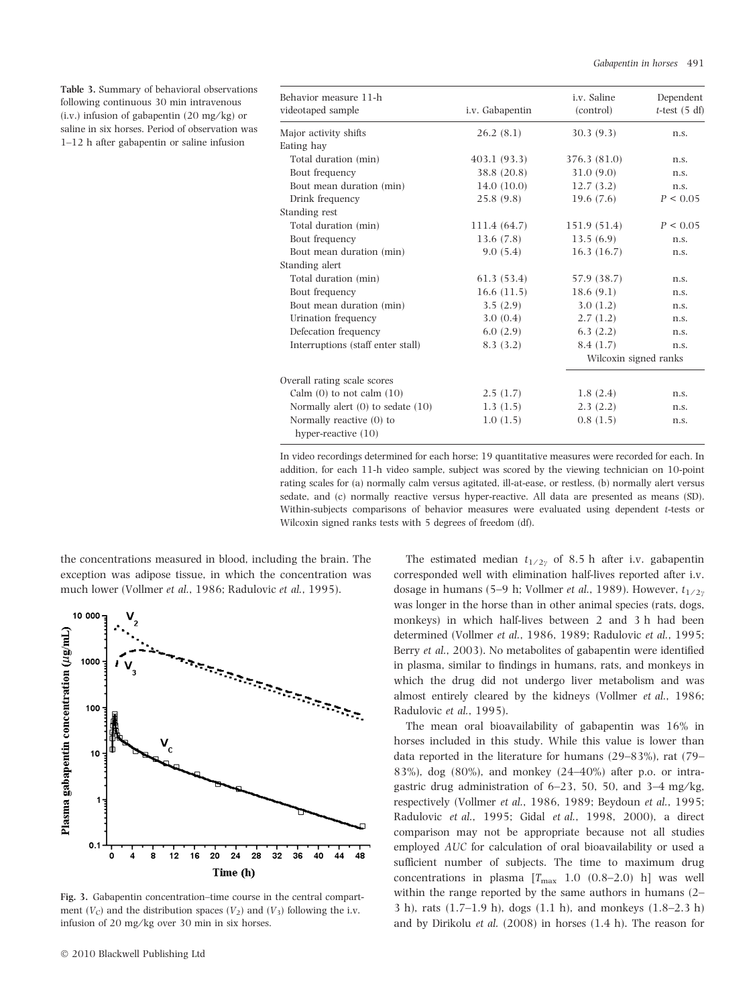| Table 3. Summary of behavioral observations<br>following continuous 30 min intravenous                     | Behavior measure 11-h<br>videotaped sample | i.v. Saline<br>(control) | Dependent<br>$t$ -test (5 df) |          |
|------------------------------------------------------------------------------------------------------------|--------------------------------------------|--------------------------|-------------------------------|----------|
| $(i.v.)$ infusion of gabapentin $(20 \text{ mg/kg})$ or<br>saline in six horses. Period of observation was | Major activity shifts                      | 26.2(8.1)                | 30.3(9.3)                     | n.s.     |
| $1-12$ h after gabapentin or saline infusion                                                               | Eating hay                                 |                          |                               |          |
|                                                                                                            | Total duration (min)                       | 403.1(93.3)              | 376.3 (81.0)                  | n.s.     |
|                                                                                                            |                                            |                          |                               |          |
|                                                                                                            | Bout frequency<br>38.8 (20.8)              |                          | 31.0(9.0)                     | n.s.     |
|                                                                                                            | Bout mean duration (min)                   | 14.0(10.0)               | 12.7(3.2)                     | n.s.     |
|                                                                                                            | Drink frequency                            | 25.8(9.8)                | 19.6(7.6)                     | P < 0.05 |
|                                                                                                            | Standing rest                              |                          |                               |          |
|                                                                                                            | Total duration (min)                       | 111.4 (64.7)             | 151.9 (51.4)                  | P < 0.05 |
|                                                                                                            | Bout frequency                             | 13.6(7.8)                | 13.5(6.9)                     | n.s.     |
|                                                                                                            | Bout mean duration (min)                   | 9.0(5.4)                 | 16.3(16.7)                    | n.s.     |
|                                                                                                            | Standing alert                             |                          |                               |          |
|                                                                                                            | Total duration (min)                       | 61.3(53.4)               | 57.9 (38.7)                   | n.s.     |
|                                                                                                            | Bout frequency                             | 16.6(11.5)               | 18.6(9.1)                     | n.s.     |
|                                                                                                            | Bout mean duration (min)                   | 3.5(2.9)                 | 3.0(1.2)                      | n.s.     |
|                                                                                                            | Urination frequency                        | 3.0(0.4)                 | 2.7(1.2)                      | n.s.     |
|                                                                                                            | Defecation frequency                       | 6.0(2.9)                 | 6.3(2.2)                      | n.s.     |
|                                                                                                            | Interruptions (staff enter stall)          | 8.3(3.2)                 | 8.4(1.7)                      | n.s.     |
|                                                                                                            |                                            |                          | Wilcoxin signed ranks         |          |
|                                                                                                            | Overall rating scale scores                |                          |                               |          |
|                                                                                                            | Calm $(0)$ to not calm $(10)$              | 2.5(1.7)                 | 1.8(2.4)                      | n.s.     |
|                                                                                                            | Normally alert $(0)$ to sedate $(10)$      | 1.3(1.5)                 | 2.3(2.2)                      | n.s.     |
|                                                                                                            | Normally reactive $(0)$ to                 | 1.0(1.5)                 | 0.8(1.5)                      | n.s.     |
|                                                                                                            | hyper-reactive $(10)$                      |                          |                               |          |

In video recordings determined for each horse; 19 quantitative measures were recorded for each. In addition, for each 11-h video sample, subject was scored by the viewing technician on 10-point rating scales for (a) normally calm versus agitated, ill-at-ease, or restless, (b) normally alert versus sedate, and (c) normally reactive versus hyper-reactive. All data are presented as means (SD). Within-subjects comparisons of behavior measures were evaluated using dependent t-tests or Wilcoxin signed ranks tests with 5 degrees of freedom (df).

the concentrations measured in blood, including the brain. The exception was adipose tissue, in which the concentration was much lower (Vollmer et al., 1986; Radulovic et al., 1995).



Fig. 3. Gabapentin concentration–time course in the central compartment ( $V<sub>C</sub>$ ) and the distribution spaces ( $V<sub>2</sub>$ ) and ( $V<sub>3</sub>$ ) following the i.v. infusion of 20 mg/kg over 30 min in six horses.

> The estimated median  $t_{1/2\gamma}$  of 8.5 h after i.v. gabapentin corresponded well with elimination half-lives reported after i.v. dosage in humans (5–9 h; Vollmer et al., 1989). However,  $t_{1/2}$ <sub>2</sub> was longer in the horse than in other animal species (rats, dogs, monkeys) in which half-lives between 2 and 3 h had been determined (Vollmer et al., 1986, 1989; Radulovic et al., 1995; Berry et al., 2003). No metabolites of gabapentin were identified in plasma, similar to findings in humans, rats, and monkeys in which the drug did not undergo liver metabolism and was almost entirely cleared by the kidneys (Vollmer et al., 1986; Radulovic et al., 1995).

> The mean oral bioavailability of gabapentin was 16% in horses included in this study. While this value is lower than data reported in the literature for humans (29–83%), rat (79– 83%), dog (80%), and monkey (24–40%) after p.o. or intragastric drug administration of  $6-23$ , 50, 50, and  $3-4$  mg/kg, respectively (Vollmer et al., 1986, 1989; Beydoun et al., 1995; Radulovic et al., 1995; Gidal et al., 1998, 2000), a direct comparison may not be appropriate because not all studies employed AUC for calculation of oral bioavailability or used a sufficient number of subjects. The time to maximum drug concentrations in plasma  $[T_{\text{max}} 1.0 (0.8-2.0) h]$  was well within the range reported by the same authors in humans (2– 3 h), rats (1.7–1.9 h), dogs (1.1 h), and monkeys (1.8–2.3 h) and by Dirikolu et al. (2008) in horses (1.4 h). The reason for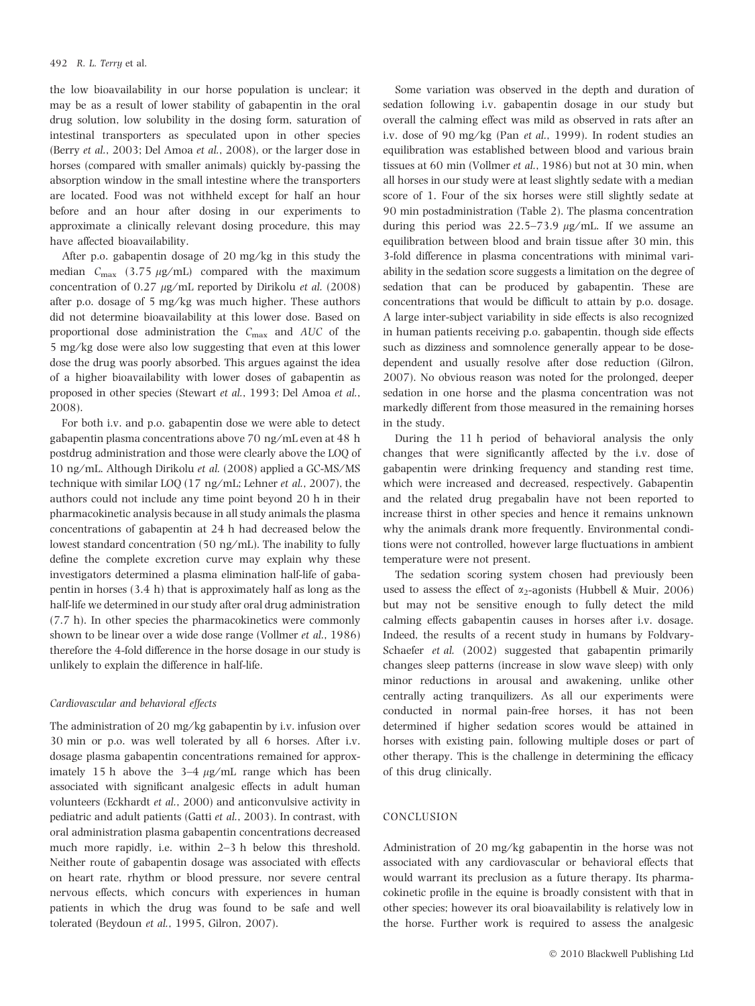the low bioavailability in our horse population is unclear; it may be as a result of lower stability of gabapentin in the oral drug solution, low solubility in the dosing form, saturation of intestinal transporters as speculated upon in other species (Berry et al., 2003; Del Amoa et al., 2008), or the larger dose in horses (compared with smaller animals) quickly by-passing the absorption window in the small intestine where the transporters are located. Food was not withheld except for half an hour before and an hour after dosing in our experiments to approximate a clinically relevant dosing procedure, this may have affected bioavailability.

After p.o. gabapentin dosage of  $20 \text{ mg/kg}$  in this study the median  $C_{\text{max}}$  (3.75  $\mu$ g/mL) compared with the maximum concentration of 0.27  $\mu$ g/mL reported by Dirikolu et al. (2008) after p.o. dosage of 5 mg/kg was much higher. These authors did not determine bioavailability at this lower dose. Based on proportional dose administration the  $C_{\text{max}}$  and  $AUC$  of the 5 mg ⁄ kg dose were also low suggesting that even at this lower dose the drug was poorly absorbed. This argues against the idea of a higher bioavailability with lower doses of gabapentin as proposed in other species (Stewart et al., 1993; Del Amoa et al., 2008).

For both i.v. and p.o. gabapentin dose we were able to detect gabapentin plasma concentrations above 70 ng ⁄ mL even at 48 h postdrug administration and those were clearly above the LOQ of 10 ng/mL. Although Dirikolu et al. (2008) applied a GC-MS/MS technique with similar LOQ (17 ng/mL; Lehner et al., 2007), the authors could not include any time point beyond 20 h in their pharmacokinetic analysis because in all study animals the plasma concentrations of gabapentin at 24 h had decreased below the lowest standard concentration (50 ng/mL). The inability to fully define the complete excretion curve may explain why these investigators determined a plasma elimination half-life of gabapentin in horses (3.4 h) that is approximately half as long as the half-life we determined in our study after oral drug administration (7.7 h). In other species the pharmacokinetics were commonly shown to be linear over a wide dose range (Vollmer et al., 1986) therefore the 4-fold difference in the horse dosage in our study is unlikely to explain the difference in half-life.

#### Cardiovascular and behavioral effects

The administration of 20 mg/kg gabapentin by i.v. infusion over 30 min or p.o. was well tolerated by all 6 horses. After i.v. dosage plasma gabapentin concentrations remained for approximately 15 h above the  $3-4 \mu g/mL$  range which has been associated with significant analgesic effects in adult human volunteers (Eckhardt et al., 2000) and anticonvulsive activity in pediatric and adult patients (Gatti et al., 2003). In contrast, with oral administration plasma gabapentin concentrations decreased much more rapidly, i.e. within 2–3 h below this threshold. Neither route of gabapentin dosage was associated with effects on heart rate, rhythm or blood pressure, nor severe central nervous effects, which concurs with experiences in human patients in which the drug was found to be safe and well tolerated (Beydoun et al., 1995, Gilron, 2007).

Some variation was observed in the depth and duration of sedation following i.v. gabapentin dosage in our study but overall the calming effect was mild as observed in rats after an i.v. dose of 90 mg/kg (Pan et al., 1999). In rodent studies an equilibration was established between blood and various brain tissues at 60 min (Vollmer et al., 1986) but not at 30 min, when all horses in our study were at least slightly sedate with a median score of 1. Four of the six horses were still slightly sedate at 90 min postadministration (Table 2). The plasma concentration during this period was  $22.5 - 73.9 \mu g/mL$ . If we assume an equilibration between blood and brain tissue after 30 min, this 3-fold difference in plasma concentrations with minimal variability in the sedation score suggests a limitation on the degree of sedation that can be produced by gabapentin. These are concentrations that would be difficult to attain by p.o. dosage. A large inter-subject variability in side effects is also recognized in human patients receiving p.o. gabapentin, though side effects such as dizziness and somnolence generally appear to be dosedependent and usually resolve after dose reduction (Gilron, 2007). No obvious reason was noted for the prolonged, deeper sedation in one horse and the plasma concentration was not markedly different from those measured in the remaining horses in the study.

During the 11 h period of behavioral analysis the only changes that were significantly affected by the i.v. dose of gabapentin were drinking frequency and standing rest time, which were increased and decreased, respectively. Gabapentin and the related drug pregabalin have not been reported to increase thirst in other species and hence it remains unknown why the animals drank more frequently. Environmental conditions were not controlled, however large fluctuations in ambient temperature were not present.

The sedation scoring system chosen had previously been used to assess the effect of  $\alpha_2$ -agonists (Hubbell & Muir, 2006) but may not be sensitive enough to fully detect the mild calming effects gabapentin causes in horses after i.v. dosage. Indeed, the results of a recent study in humans by Foldvary-Schaefer *et al.* (2002) suggested that gabapentin primarily changes sleep patterns (increase in slow wave sleep) with only minor reductions in arousal and awakening, unlike other centrally acting tranquilizers. As all our experiments were conducted in normal pain-free horses, it has not been determined if higher sedation scores would be attained in horses with existing pain, following multiple doses or part of other therapy. This is the challenge in determining the efficacy of this drug clinically.

# CONCLUSION

Administration of 20 mg/kg gabapentin in the horse was not associated with any cardiovascular or behavioral effects that would warrant its preclusion as a future therapy. Its pharmacokinetic profile in the equine is broadly consistent with that in other species; however its oral bioavailability is relatively low in the horse. Further work is required to assess the analgesic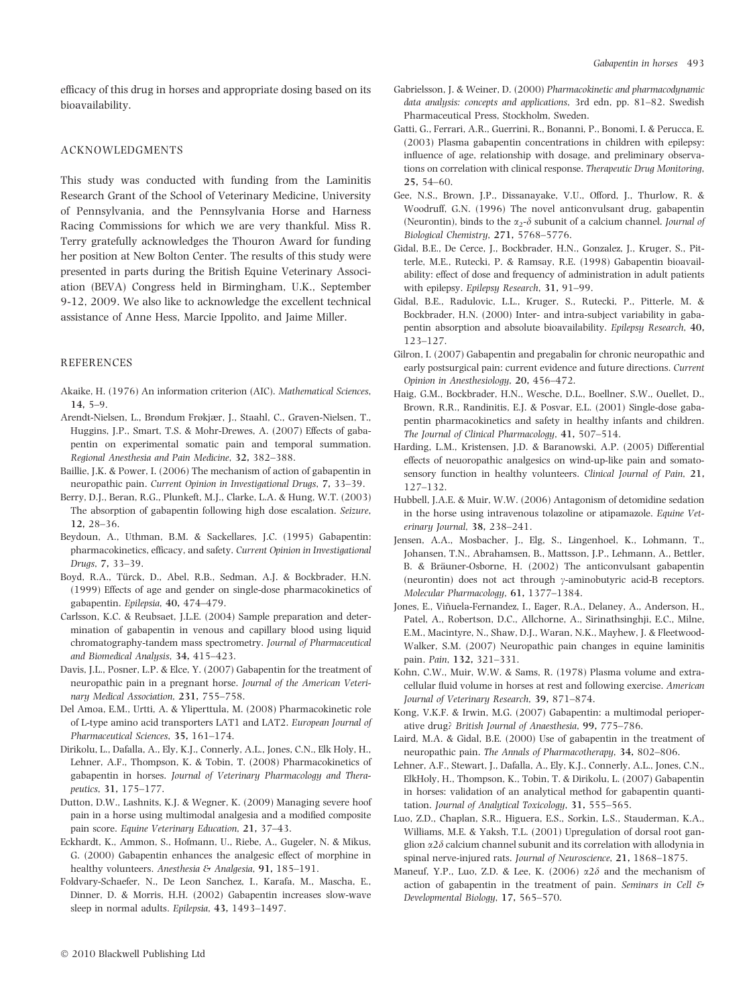efficacy of this drug in horses and appropriate dosing based on its bioavailability.

# ACKNOWLEDGMENTS

This study was conducted with funding from the Laminitis Research Grant of the School of Veterinary Medicine, University of Pennsylvania, and the Pennsylvania Horse and Harness Racing Commissions for which we are very thankful. Miss R. Terry gratefully acknowledges the Thouron Award for funding her position at New Bolton Center. The results of this study were presented in parts during the British Equine Veterinary Association (BEVA) Congress held in Birmingham, U.K., September 9-12, 2009. We also like to acknowledge the excellent technical assistance of Anne Hess, Marcie Ippolito, and Jaime Miller.

# **REFERENCES**

- Akaike, H. (1976) An information criterion (AIC). Mathematical Sciences, 14, 5–9.
- Arendt-Nielsen, L., Brøndum Frøkjær, J., Staahl, C., Graven-Nielsen, T., Huggins, J.P., Smart, T.S. & Mohr-Drewes, A. (2007) Effects of gabapentin on experimental somatic pain and temporal summation. Regional Anesthesia and Pain Medicine, 32, 382–388.
- Baillie, J.K. & Power, I. (2006) The mechanism of action of gabapentin in neuropathic pain. Current Opinion in Investigational Drugs, 7, 33–39.
- Berry, D.J., Beran, R.G., Plunkeft, M.J., Clarke, L.A. & Hung, W.T. (2003) The absorption of gabapentin following high dose escalation. Seizure, 12, 28–36.
- Beydoun, A., Uthman, B.M. & Sackellares, J.C. (1995) Gabapentin: pharmacokinetics, efficacy, and safety. Current Opinion in Investigational Drugs, 7, 33–39.
- Boyd, R.A., Türck, D., Abel, R.B., Sedman, A.J. & Bockbrader, H.N. (1999) Effects of age and gender on single-dose pharmacokinetics of gabapentin. Epilepsia, 40, 474–479.
- Carlsson, K.C. & Reubsaet, J.L.E. (2004) Sample preparation and determination of gabapentin in venous and capillary blood using liquid chromatography-tandem mass spectrometry. Journal of Pharmaceutical and Biomedical Analysis, 34, 415–423.
- Davis, J.L., Posner, L.P. & Elce, Y. (2007) Gabapentin for the treatment of neuropathic pain in a pregnant horse. Journal of the American Veterinary Medical Association, 231, 755–758.
- Del Amoa, E.M., Urtti, A. & Yliperttula, M. (2008) Pharmacokinetic role of L-type amino acid transporters LAT1 and LAT2. European Journal of Pharmaceutical Sciences, 35, 161–174.
- Dirikolu, L., Dafalla, A., Ely, K.J., Connerly, A.L., Jones, C.N., Elk Holy, H., Lehner, A.F., Thompson, K. & Tobin, T. (2008) Pharmacokinetics of gabapentin in horses. Journal of Veterinary Pharmacology and Therapeutics, 31, 175–177.
- Dutton, D.W., Lashnits, K.J. & Wegner, K. (2009) Managing severe hoof pain in a horse using multimodal analgesia and a modified composite pain score. Equine Veterinary Education, 21, 37–43.
- Eckhardt, K., Ammon, S., Hofmann, U., Riebe, A., Gugeler, N. & Mikus, G. (2000) Gabapentin enhances the analgesic effect of morphine in healthy volunteers. Anesthesia & Analgesia, 91, 185-191.
- Foldvary-Schaefer, N., De Leon Sanchez, I., Karafa, M., Mascha, E., Dinner, D. & Morris, H.H. (2002) Gabapentin increases slow-wave sleep in normal adults. Epilepsia, 43, 1493–1497.
- Gabrielsson, J. & Weiner, D. (2000) Pharmacokinetic and pharmacodynamic data analysis: concepts and applications, 3rd edn, pp. 81–82. Swedish Pharmaceutical Press, Stockholm, Sweden.
- Gatti, G., Ferrari, A.R., Guerrini, R., Bonanni, P., Bonomi, I. & Perucca, E. (2003) Plasma gabapentin concentrations in children with epilepsy: influence of age, relationship with dosage, and preliminary observations on correlation with clinical response. Therapeutic Drug Monitoring, 25, 54–60.
- Gee, N.S., Brown, J.P., Dissanayake, V.U., Offord, J., Thurlow, R. & Woodruff, G.N. (1996) The novel anticonvulsant drug, gabapentin (Neurontin), binds to the  $\alpha_2$ - $\delta$  subunit of a calcium channel. Journal of Biological Chemistry, 271, 5768–5776.
- Gidal, B.E., De Cerce, J., Bockbrader, H.N., Gonzalez, J., Kruger, S., Pitterle, M.E., Rutecki, P. & Ramsay, R.E. (1998) Gabapentin bioavailability: effect of dose and frequency of administration in adult patients with epilepsy. Epilepsy Research, 31, 91–99.
- Gidal, B.E., Radulovic, L.L., Kruger, S., Rutecki, P., Pitterle, M. & Bockbrader, H.N. (2000) Inter- and intra-subject variability in gabapentin absorption and absolute bioavailability. Epilepsy Research, 40, 123–127.
- Gilron, I. (2007) Gabapentin and pregabalin for chronic neuropathic and early postsurgical pain: current evidence and future directions. Current Opinion in Anesthesiology, 20, 456–472.
- Haig, G.M., Bockbrader, H.N., Wesche, D.L., Boellner, S.W., Ouellet, D., Brown, R.R., Randinitis, E.J. & Posvar, E.L. (2001) Single-dose gabapentin pharmacokinetics and safety in healthy infants and children. The Journal of Clinical Pharmacology, 41, 507–514.
- Harding, L.M., Kristensen, J.D. & Baranowski, A.P. (2005) Differential effects of neuoropathic analgesics on wind-up-like pain and somatosensory function in healthy volunteers. Clinical Journal of Pain, 21, 127–132.
- Hubbell, J.A.E. & Muir, W.W. (2006) Antagonism of detomidine sedation in the horse using intravenous tolazoline or atipamazole. Equine Veterinary Journal, 38, 238–241.
- Jensen, A.A., Mosbacher, J., Elg, S., Lingenhoel, K., Lohmann, T., Johansen, T.N., Abrahamsen, B., Mattsson, J.P., Lehmann, A., Bettler, B. & Bräuner-Osborne, H. (2002) The anticonvulsant gabapentin (neurontin) does not act through  $\gamma$ -aminobutyric acid-B receptors. Molecular Pharmacology, 61, 1377–1384.
- Jones, E., Viñuela-Fernandez, I., Eager, R.A., Delaney, A., Anderson, H., Patel, A., Robertson, D.C., Allchorne, A., Sirinathsinghji, E.C., Milne, E.M., Macintyre, N., Shaw, D.J., Waran, N.K., Mayhew, J. & Fleetwood-Walker, S.M. (2007) Neuropathic pain changes in equine laminitis pain. Pain, 132, 321–331.
- Kohn, C.W., Muir, W.W. & Sams, R. (1978) Plasma volume and extracellular fluid volume in horses at rest and following exercise. American Journal of Veterinary Research, 39, 871–874.
- Kong, V.K.F. & Irwin, M.G. (2007) Gabapentin: a multimodal perioperative drug? British Journal of Anaesthesia, 99, 775–786.
- Laird, M.A. & Gidal, B.E. (2000) Use of gabapentin in the treatment of neuropathic pain. The Annals of Pharmacotherapy, 34, 802–806.
- Lehner, A.F., Stewart, J., Dafalla, A., Ely, K.J., Connerly, A.L., Jones, C.N., ElkHoly, H., Thompson, K., Tobin, T. & Dirikolu, L. (2007) Gabapentin in horses: validation of an analytical method for gabapentin quantitation. Journal of Analytical Toxicology, 31, 555–565.
- Luo, Z.D., Chaplan, S.R., Higuera, E.S., Sorkin, L.S., Stauderman, K.A., Williams, M.E. & Yaksh, T.L. (2001) Upregulation of dorsal root ganglion  $\alpha$ 2 $\delta$  calcium channel subunit and its correlation with allodynia in spinal nerve-injured rats. Journal of Neuroscience, 21, 1868–1875.
- Maneuf, Y.P., Luo, Z.D. & Lee, K. (2006)  $\alpha 2\delta$  and the mechanism of action of gabapentin in the treatment of pain. Seminars in Cell & Developmental Biology, 17, 565–570.